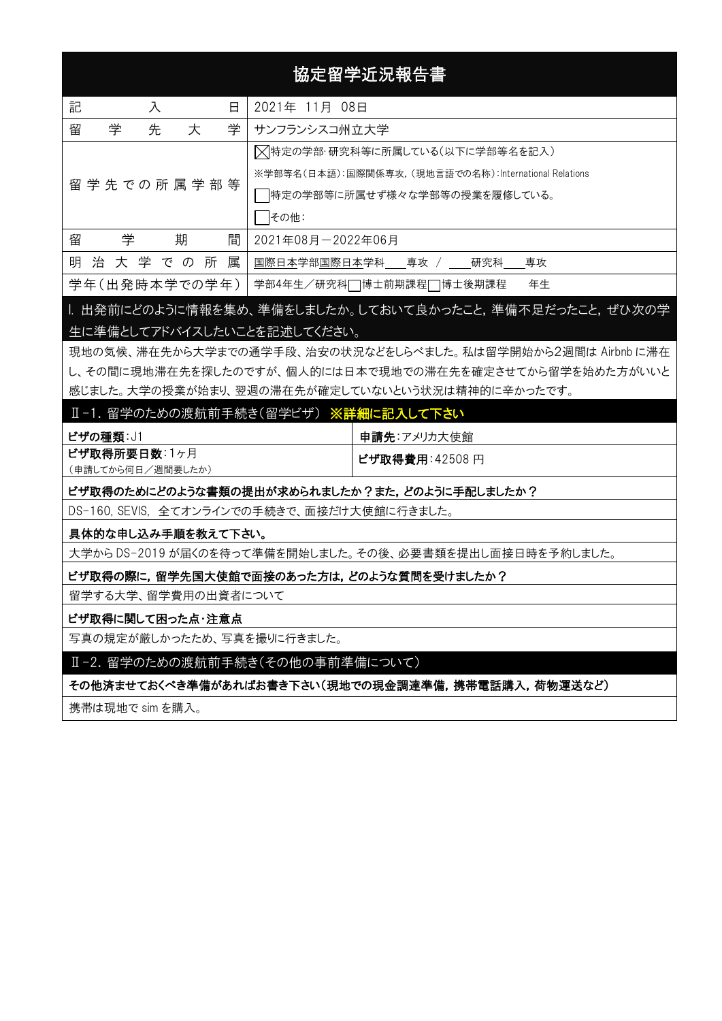# 協定留学近況報告書

| 記<br>日<br>入        | 2021年 11月 08日                                         |
|--------------------|-------------------------------------------------------|
| 留<br>学<br>先<br>大   | 学<br>サンフランシスコ州立大学                                     |
|                    | ▷ 特定の学部·研究科等に所属している(以下に学部等名を記入)                       |
| 留学先での所属学部等         | ※学部等名(日本語):国際関係専攻, (現地言語での名称):International Relations |
|                    | 特定の学部等に所属せず様々な学部等の授業を履修している。                          |
|                    | をの他:                                                  |
| 留<br>期<br>学<br>間   | 2021年08月-2022年06月                                     |
| 明<br>治 大 学 で の 所 属 | 国際日本学部国際日本学科<br>— 専攻 / ___研究科<br>— 専攻                 |
| 学年(出発時本学での学年)      | 年生<br>学部4年生/研究科□博士前期課程□博士後期課程                         |

# |. 出発前にどのように情報を集め、準備をしましたか。しておいて良かったこと,準備不足だったこと,ぜひ次の学 生に準備としてアドバイスしたいことを記述してください。

現地の気候、滞在先から大学までの通学手段、治安の状況などをしらべました。私は留学開始から2週間は Airbnb に滞在 し、その間に現地滞在先を探したのですが、個人的には日本で現地での滞在先を確定させてから留学を始めた方がいいと 感じました。大学の授業が始まり、翌週の滞在先が確定していないという状況は精神的に辛かったです。

### Ⅱ-1. 留学のための渡航前手続き(留学ビザ) ※詳細に記入して下さい

| ビザの種類: J1         | 申請先:アメリカ大使館     |
|-------------------|-----------------|
| ビザ取得所要日数:1ヶ月      | │ビザ取得費用:42508 円 |
| (申請してから何日/週間要したか) |                 |

#### ビザ取得のためにどのような書類の提出が求められましたか?また,どのように手配しましたか?

DS-160, SEVIS, 全てオンラインでの手続きで、面接だけ大使館に行きました。

#### 具体的な申し込み手順を教えて下さい。

大学から DS-2019 が届くのを待って準備を開始しました。その後、必要書類を提出し面接日時を予約しました。

#### ビザ取得の際に,留学先国大使館で面接のあった方は,どのような質問を受けましたか?

留学する大学、留学費用の出資者について

#### ビザ取得に関して困った点・注意点

写真の規定が厳しかったため、写真を撮りに行きました。

#### Ⅱ-2. 留学のための渡航前手続き(その他の事前準備について)

その他済ませておくべき準備があればお書き下さい(現地での現金調達準備,携帯電話購入,荷物運送など)

携帯は現地で sim を購入。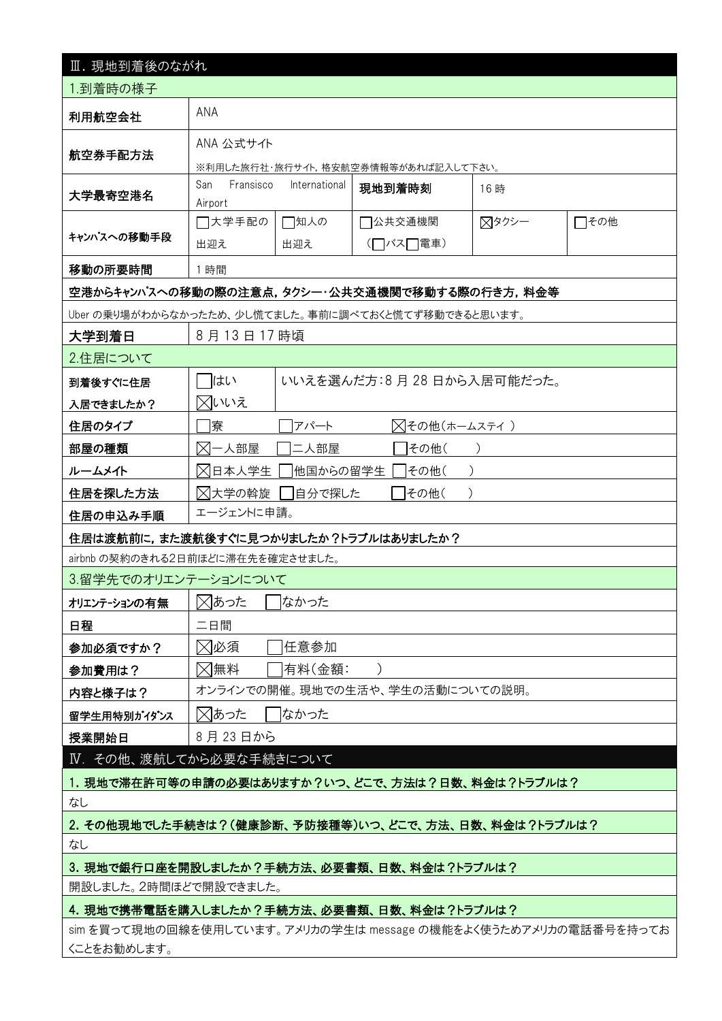| Ⅲ. 現地到着後のながれ                                                    |                                                       |                |                                 |     |  |  |  |  |  |
|-----------------------------------------------------------------|-------------------------------------------------------|----------------|---------------------------------|-----|--|--|--|--|--|
| 1.到着時の様子                                                        |                                                       |                |                                 |     |  |  |  |  |  |
| 利用航空会社                                                          | <b>ANA</b>                                            |                |                                 |     |  |  |  |  |  |
|                                                                 | ANA 公式サイト                                             |                |                                 |     |  |  |  |  |  |
| 航空券手配方法                                                         | ※利用した旅行社・旅行サイト,格安航空券情報等があれば記入して下さい。                   |                |                                 |     |  |  |  |  |  |
| 大学最寄空港名                                                         | San<br>Fransisco                                      | International  | 現地到着時刻                          | 16時 |  |  |  |  |  |
|                                                                 | Airport<br>□大学手配の<br>□知人の<br>□その他<br>]公共交通機関<br>⊠タクシー |                |                                 |     |  |  |  |  |  |
| キャンパスへの移動手段                                                     | 出迎え                                                   | 出迎え            | (□バス□電車)                        |     |  |  |  |  |  |
| 移動の所要時間                                                         | 1時間                                                   |                |                                 |     |  |  |  |  |  |
| 空港からキャンパスへの移動の際の注意点,タクシー・公共交通機関で移動する際の行き方,料金等                   |                                                       |                |                                 |     |  |  |  |  |  |
| Uber の乗り場がわからなかったため、少し慌てました。事前に調べておくと慌てず移動できると思います。             |                                                       |                |                                 |     |  |  |  |  |  |
| 大学到着日                                                           | 8月13日17時頃                                             |                |                                 |     |  |  |  |  |  |
| 2.住居について                                                        |                                                       |                |                                 |     |  |  |  |  |  |
| 到着後すぐに住居                                                        | はい                                                    |                | いいえを選んだ方:8月 28 日から入居可能だった。      |     |  |  |  |  |  |
| 入居できましたか?                                                       | 风いいえ                                                  |                |                                 |     |  |  |  |  |  |
| 住居のタイプ                                                          | 「寮                                                    | アパート           | ╳┫その他(ホームスティ)                   |     |  |  |  |  |  |
| 部屋の種類                                                           | 对一人部屋                                                 | 二人部屋           | □その他(                           |     |  |  |  |  |  |
| ルームメイト                                                          | ⊠日本人学生                                                | 他国からの留学生       | その他(                            |     |  |  |  |  |  |
| 住居を探した方法                                                        | ⊠大学の斡旋                                                | 自分で探した<br>その他( |                                 |     |  |  |  |  |  |
| エージェントに申請。<br>住居の申込み手順                                          |                                                       |                |                                 |     |  |  |  |  |  |
| 住居は渡航前に,また渡航後すぐに見つかりましたか?トラブルはありましたか?                           |                                                       |                |                                 |     |  |  |  |  |  |
| airbnb の契約のきれる2日前ほどに滞在先を確定させました。                                |                                                       |                |                                 |     |  |  |  |  |  |
| 3.留学先でのオリエンテーションについて                                            |                                                       |                |                                 |     |  |  |  |  |  |
| オリエンテーションの有無                                                    | ⊠あった<br>□なかった                                         |                |                                 |     |  |  |  |  |  |
| 日程                                                              | 二日間                                                   |                |                                 |     |  |  |  |  |  |
| 参加必須ですか?                                                        |                                                       | ⊠必須<br>任意参加    |                                 |     |  |  |  |  |  |
| 参加費用は?                                                          | ⊠無料                                                   | 有料(金額:         | オンラインでの開催。現地での生活や、学生の活動についての説明。 |     |  |  |  |  |  |
| 内容と様子は?                                                         |                                                       | なかった           |                                 |     |  |  |  |  |  |
| 留学生用特別がイダンス<br>授業開始日                                            | ⊠あった<br>8月23日から                                       |                |                                 |     |  |  |  |  |  |
| Ⅳ. その他、渡航してから必要な手続きについて                                         |                                                       |                |                                 |     |  |  |  |  |  |
|                                                                 |                                                       |                |                                 |     |  |  |  |  |  |
| 1. 現地で滞在許可等の申請の必要はありますか?いつ、どこで、方法は?日数、料金は?トラブルは?<br>なし          |                                                       |                |                                 |     |  |  |  |  |  |
| 2. その他現地でした手続きは?(健康診断、予防接種等)いつ、どこで、方法、日数、料金は?トラブルは?             |                                                       |                |                                 |     |  |  |  |  |  |
| なし                                                              |                                                       |                |                                 |     |  |  |  |  |  |
| 3. 現地で銀行口座を開設しましたか?手続方法、必要書類、日数、料金は?トラブルは?                      |                                                       |                |                                 |     |  |  |  |  |  |
| 開設しました。2時間ほどで開設できました。                                           |                                                       |                |                                 |     |  |  |  |  |  |
| 4. 現地で携帯電話を購入しましたか?手続方法、必要書類、日数、料金は?トラブルは?                      |                                                       |                |                                 |     |  |  |  |  |  |
| sim を買って現地の回線を使用しています。アメリカの学生は message の機能をよく使うためアメリカの電話番号を持ってお |                                                       |                |                                 |     |  |  |  |  |  |
| くことをお勧めします。                                                     |                                                       |                |                                 |     |  |  |  |  |  |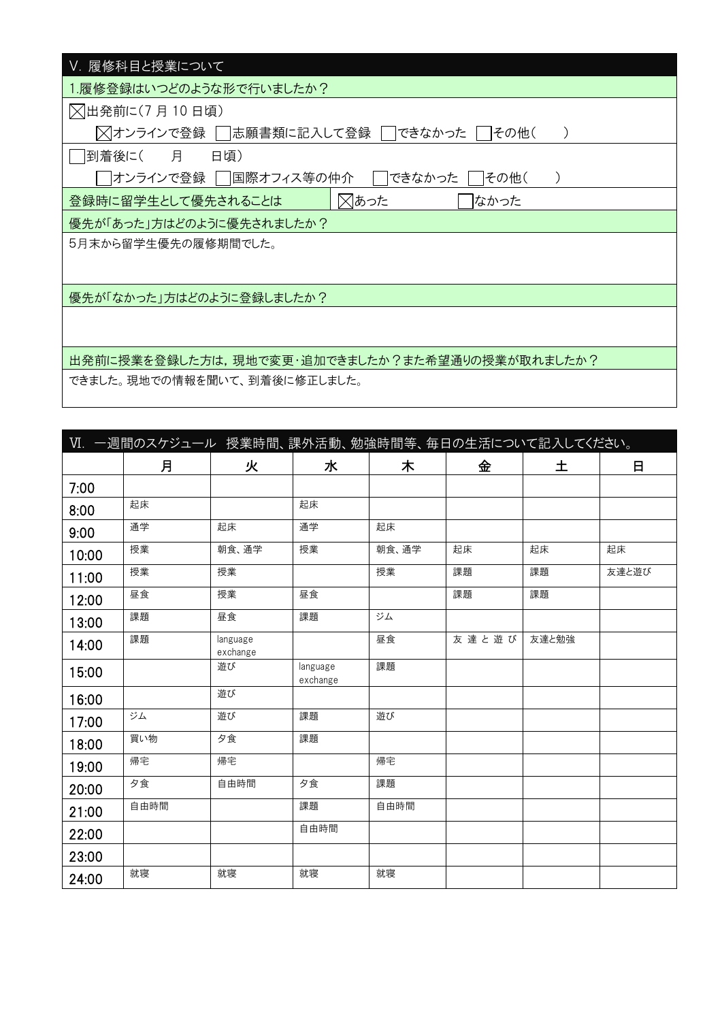| Ⅴ. 履修科目と授業について                                 |
|------------------------------------------------|
| 1.履修登録はいつどのような形で行いましたか?                        |
| ○ 日発前に(7月10日頃)                                 |
| ╳ オンラインで登録 │  志願書類に記入して登録 │  できなかった<br>その他(    |
| 到着後に( 月<br>日頃)                                 |
| オンラインで登録    国際オフィス等の仲介 <br>できなかった<br> その他(     |
| ⊠あった<br>登録時に留学生として優先されることは<br>はかった             |
| 優先が「あった」方はどのように優先されましたか?                       |
| 5月末から留学生優先の履修期間でした。                            |
|                                                |
| 優先が「なかった」方はどのように登録しましたか?                       |
|                                                |
|                                                |
| 出発前に授業を登録した方は,現地で変更・追加できましたか?また希望通りの授業が取れましたか? |
| できました。現地での情報を聞いて、到着後に修正しました。                   |

| Ⅵ. 一週間のスケジュール 授業時間、課外活動、勉強時間等、毎日の生活について記入してください。 |      |                      |                      |       |       |       |       |  |
|--------------------------------------------------|------|----------------------|----------------------|-------|-------|-------|-------|--|
|                                                  | 月    | 火                    | 水                    | 木     | 金     | 土     | 日     |  |
| 7:00                                             |      |                      |                      |       |       |       |       |  |
| 8:00                                             | 起床   |                      | 起床                   |       |       |       |       |  |
| 9:00                                             | 通学   | 起床                   | 通学                   | 起床    |       |       |       |  |
| 10:00                                            | 授業   | 朝食、通学                | 授業                   | 朝食、通学 | 起床    | 起床    | 起床    |  |
| 11:00                                            | 授業   | 授業                   |                      | 授業    | 課題    | 課題    | 友達と遊び |  |
| 12:00                                            | 昼食   | 授業                   | 昼食                   |       | 課題    | 課題    |       |  |
| 13:00                                            | 課題   | 昼食                   | 課題                   | ジム    |       |       |       |  |
| 14:00                                            | 課題   | language<br>exchange |                      | 昼食    | 友達と遊び | 友達と勉強 |       |  |
| 15:00                                            |      | 遊び                   | language<br>exchange | 課題    |       |       |       |  |
| 16:00                                            |      | 遊び                   |                      |       |       |       |       |  |
| 17:00                                            | ジム   | 遊び                   | 課題                   | 遊び    |       |       |       |  |
| 18:00                                            | 買い物  | 夕食                   | 課題                   |       |       |       |       |  |
| 19:00                                            | 帰宅   | 帰宅                   |                      | 帰宅    |       |       |       |  |
| 20:00                                            | 夕食   | 自由時間                 | 夕食                   | 課題    |       |       |       |  |
| 21:00                                            | 自由時間 |                      | 課題                   | 自由時間  |       |       |       |  |
| 22:00                                            |      |                      | 自由時間                 |       |       |       |       |  |
| 23:00                                            |      |                      |                      |       |       |       |       |  |
| 24:00                                            | 就寝   | 就寝                   | 就寝                   | 就寝    |       |       |       |  |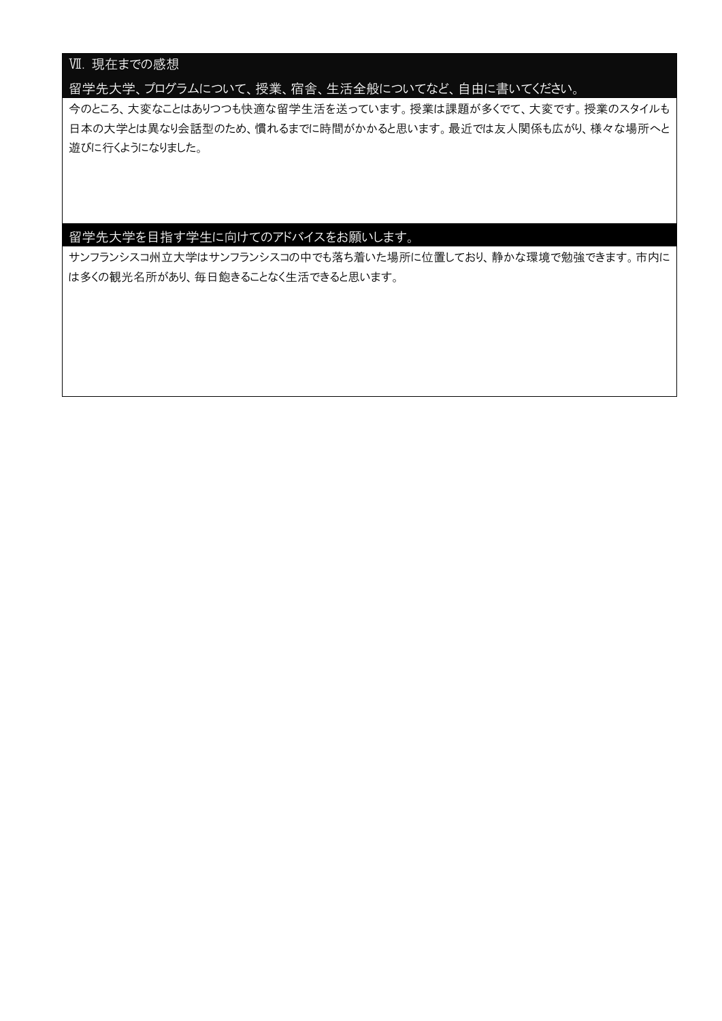# Ⅶ. 現在までの感想

留学先大学、プログラムについて、授業、宿舎、生活全般についてなど、自由に書いてください。

今のところ、大変なことはありつつも快適な留学生活を送っています。授業は課題が多くでて、大変です。授業のスタイルも 日本の大学とは異なり会話型のため、慣れるまでに時間がかかると思います。最近では友人関係も広がり、様々な場所へと 遊びに行くようになりました。

## 留学先大学を目指す学生に向けてのアドバイスをお願いします。

サンフランシスコ州立大学はサンフランシスコの中でも落ち着いた場所に位置しており、静かな環境で勉強できます。市内に は多くの観光名所があり、毎日飽きることなく生活できると思います。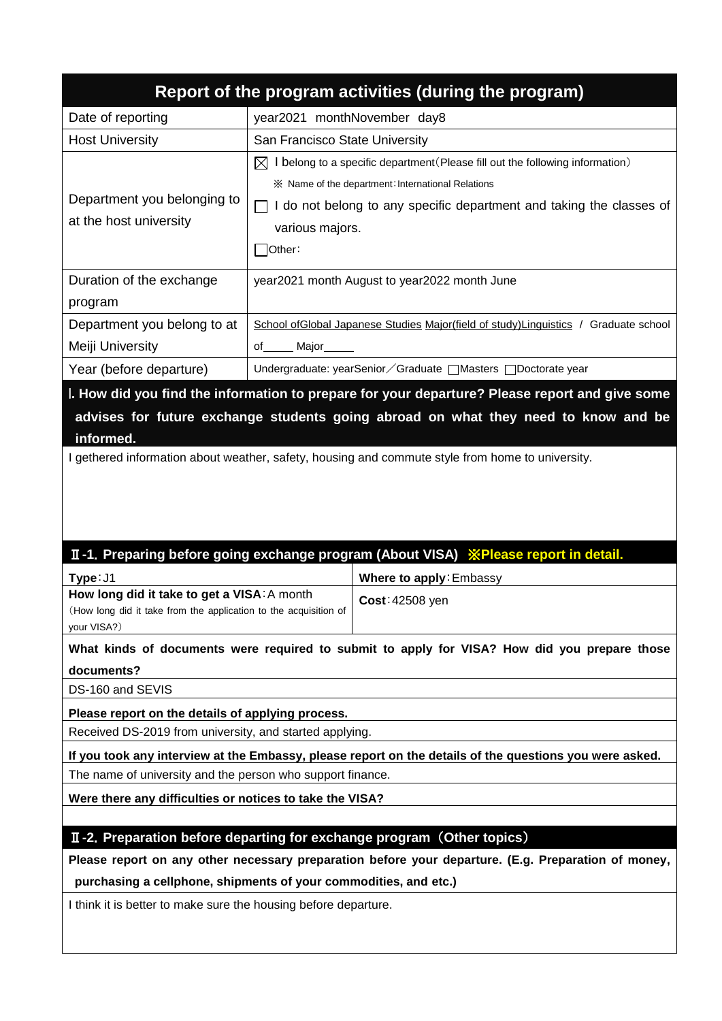| Report of the program activities (during the program) |                                                                                                                                                                                                                                                       |  |  |  |  |  |
|-------------------------------------------------------|-------------------------------------------------------------------------------------------------------------------------------------------------------------------------------------------------------------------------------------------------------|--|--|--|--|--|
| Date of reporting                                     | year2021 monthNovember day8                                                                                                                                                                                                                           |  |  |  |  |  |
| <b>Host University</b>                                | San Francisco State University                                                                                                                                                                                                                        |  |  |  |  |  |
| Department you belonging to<br>at the host university | I belong to a specific department (Please fill out the following information)<br>$\mathbb{X}$<br>X Name of the department: International Relations<br>do not belong to any specific department and taking the classes of<br>various majors.<br>Other: |  |  |  |  |  |
| Duration of the exchange<br>program                   | year2021 month August to year2022 month June                                                                                                                                                                                                          |  |  |  |  |  |
| Department you belong to at                           | School of Global Japanese Studies Major (field of study) Linguistics /<br>Graduate school                                                                                                                                                             |  |  |  |  |  |
| Meiji University                                      | of _____ Major______                                                                                                                                                                                                                                  |  |  |  |  |  |
| Year (before departure)                               | Undergraduate: yearSenior / Graduate   Masters   Doctorate year                                                                                                                                                                                       |  |  |  |  |  |

I**. How did you find the information to prepare for your departure? Please report and give some advises for future exchange students going abroad on what they need to know and be informed.**

I gethered information about weather, safety, housing and commute style from home to university.

# Ⅱ**-1**.**Preparing before going exchange program (About VISA)** ※**Please report in detail.**

| Type: J1                                                         | Where to apply: Embassy |  |  |
|------------------------------------------------------------------|-------------------------|--|--|
| How long did it take to get a VISA: A month                      | $Cost: 42508$ yen       |  |  |
| (How long did it take from the application to the acquisition of |                         |  |  |
| your VISA?)                                                      |                         |  |  |

**What kinds of documents were required to submit to apply for VISA? How did you prepare those documents?**

DS-160 and SEVIS

**Please report on the details of applying process.**

Received DS-2019 from university, and started applying.

**If you took any interview at the Embassy, please report on the details of the questions you were asked.** The name of university and the person who support finance.

**Were there any difficulties or notices to take the VISA?**

# Ⅱ**-2**.**Preparation before departing for exchange program** (**Other topics**)

**Please report on any other necessary preparation before your departure. (E.g. Preparation of money,** 

**purchasing a cellphone, shipments of your commodities, and etc.)** 

I think it is better to make sure the housing before departure.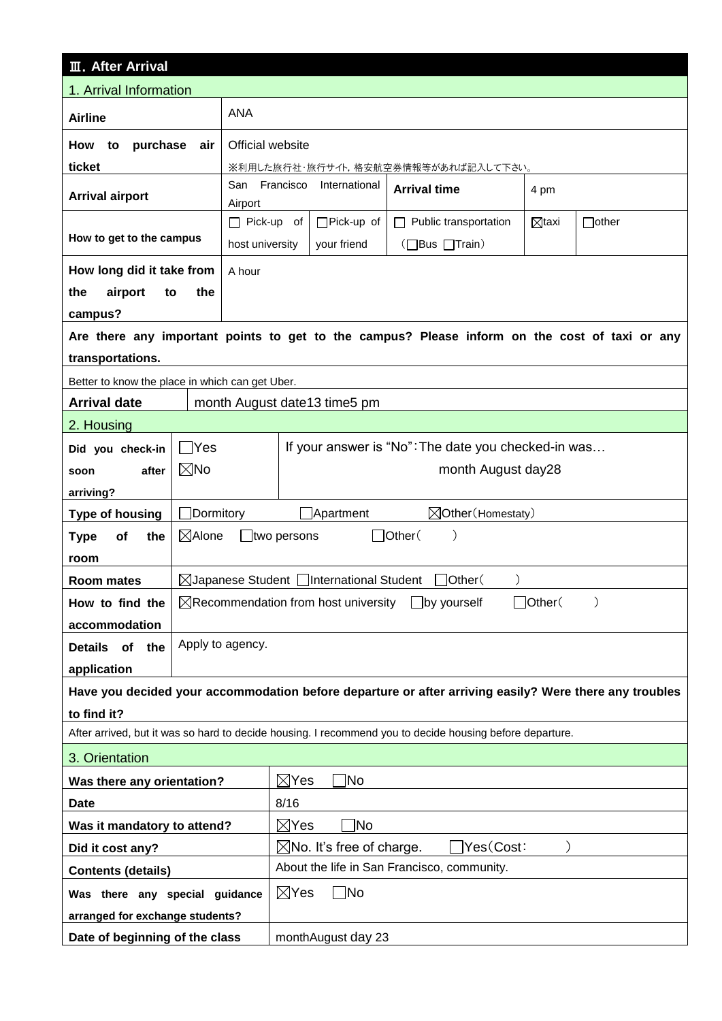| <b>III.</b> After Arrival                                                                                |                                                          |                              |                                                           |                                                           |                                                                                                        |                  |              |  |
|----------------------------------------------------------------------------------------------------------|----------------------------------------------------------|------------------------------|-----------------------------------------------------------|-----------------------------------------------------------|--------------------------------------------------------------------------------------------------------|------------------|--------------|--|
| 1. Arrival Information                                                                                   |                                                          |                              |                                                           |                                                           |                                                                                                        |                  |              |  |
| <b>Airline</b>                                                                                           |                                                          | <b>ANA</b>                   |                                                           |                                                           |                                                                                                        |                  |              |  |
| <b>How</b><br>purchase<br>to                                                                             | Official website                                         |                              |                                                           |                                                           |                                                                                                        |                  |              |  |
| ticket                                                                                                   | ※利用した旅行社・旅行サイト,格安航空券情報等があれば記入して下さい。                      |                              |                                                           |                                                           |                                                                                                        |                  |              |  |
| <b>Arrival airport</b>                                                                                   |                                                          | San<br>Airport               | Francisco<br>International<br><b>Arrival time</b><br>4 pm |                                                           |                                                                                                        |                  |              |  |
|                                                                                                          |                                                          | $\Box$ Pick-up of            |                                                           | $\Box$ Pick-up of                                         | Public transportation<br>$\mathsf{L}$                                                                  | $\boxtimes$ taxi | $\Box$ other |  |
| How to get to the campus                                                                                 |                                                          | host university              |                                                           | your friend                                               | $\Box$ Bus $\Box$ Train)                                                                               |                  |              |  |
| How long did it take from                                                                                |                                                          | A hour                       |                                                           |                                                           |                                                                                                        |                  |              |  |
| airport<br>the<br>to                                                                                     | the                                                      |                              |                                                           |                                                           |                                                                                                        |                  |              |  |
| campus?                                                                                                  |                                                          |                              |                                                           |                                                           |                                                                                                        |                  |              |  |
|                                                                                                          |                                                          |                              |                                                           |                                                           | Are there any important points to get to the campus? Please inform on the cost of taxi or any          |                  |              |  |
| transportations.                                                                                         |                                                          |                              |                                                           |                                                           |                                                                                                        |                  |              |  |
| Better to know the place in which can get Uber.                                                          |                                                          |                              |                                                           |                                                           |                                                                                                        |                  |              |  |
| <b>Arrival date</b>                                                                                      |                                                          |                              |                                                           | month August date13 time5 pm                              |                                                                                                        |                  |              |  |
| 2. Housing                                                                                               |                                                          |                              |                                                           |                                                           |                                                                                                        |                  |              |  |
| Did you check-in                                                                                         | Yes                                                      |                              |                                                           |                                                           | If your answer is "No": The date you checked-in was                                                    |                  |              |  |
| after<br>soon                                                                                            | $\boxtimes$ No                                           |                              |                                                           |                                                           | month August day28                                                                                     |                  |              |  |
| arriving?                                                                                                |                                                          |                              |                                                           |                                                           |                                                                                                        |                  |              |  |
| <b>Type of housing</b>                                                                                   | $\Box$ Dormitory                                         |                              |                                                           | $\Box$ Apartment                                          | ⊠Other (Homestaty)                                                                                     |                  |              |  |
| of<br>the<br><b>Type</b>                                                                                 | $\boxtimes$ Alone<br>$\Box$ Other(<br>$\Box$ two persons |                              |                                                           |                                                           |                                                                                                        |                  |              |  |
| room                                                                                                     |                                                          |                              |                                                           |                                                           |                                                                                                        |                  |              |  |
| <b>Room mates</b>                                                                                        |                                                          |                              |                                                           | $\boxtimes$ Japanese Student $\Box$ International Student | Other <sup>(</sup>                                                                                     |                  |              |  |
| How to find the                                                                                          |                                                          |                              |                                                           | $\boxtimes$ Recommendation from host university           | $\Box$ by yourself                                                                                     | $\Box$ Other $($ |              |  |
| accommodation                                                                                            |                                                          |                              |                                                           |                                                           |                                                                                                        |                  |              |  |
| Details of the                                                                                           | Apply to agency.                                         |                              |                                                           |                                                           |                                                                                                        |                  |              |  |
| application                                                                                              |                                                          |                              |                                                           |                                                           |                                                                                                        |                  |              |  |
|                                                                                                          |                                                          |                              |                                                           |                                                           | Have you decided your accommodation before departure or after arriving easily? Were there any troubles |                  |              |  |
| to find it?                                                                                              |                                                          |                              |                                                           |                                                           |                                                                                                        |                  |              |  |
| After arrived, but it was so hard to decide housing. I recommend you to decide housing before departure. |                                                          |                              |                                                           |                                                           |                                                                                                        |                  |              |  |
| 3. Orientation                                                                                           |                                                          |                              |                                                           |                                                           |                                                                                                        |                  |              |  |
| Was there any orientation?                                                                               |                                                          | $\boxtimes$ Yes<br>]No       |                                                           |                                                           |                                                                                                        |                  |              |  |
| <b>Date</b>                                                                                              |                                                          |                              | 8/16                                                      |                                                           |                                                                                                        |                  |              |  |
| Was it mandatory to attend?                                                                              |                                                          |                              | $\boxtimes$ Yes<br>ÎΝo                                    |                                                           |                                                                                                        |                  |              |  |
| Did it cost any?                                                                                         |                                                          |                              | Yes(Cost:<br>$\boxtimes$ No. It's free of charge.         |                                                           |                                                                                                        |                  |              |  |
| <b>Contents (details)</b>                                                                                |                                                          |                              |                                                           |                                                           | About the life in San Francisco, community.                                                            |                  |              |  |
| Was there any special guidance                                                                           |                                                          | $\boxtimes$ Yes<br>$\Box$ No |                                                           |                                                           |                                                                                                        |                  |              |  |
|                                                                                                          | arranged for exchange students?                          |                              |                                                           |                                                           |                                                                                                        |                  |              |  |
| Date of beginning of the class                                                                           |                                                          |                              | monthAugust day 23                                        |                                                           |                                                                                                        |                  |              |  |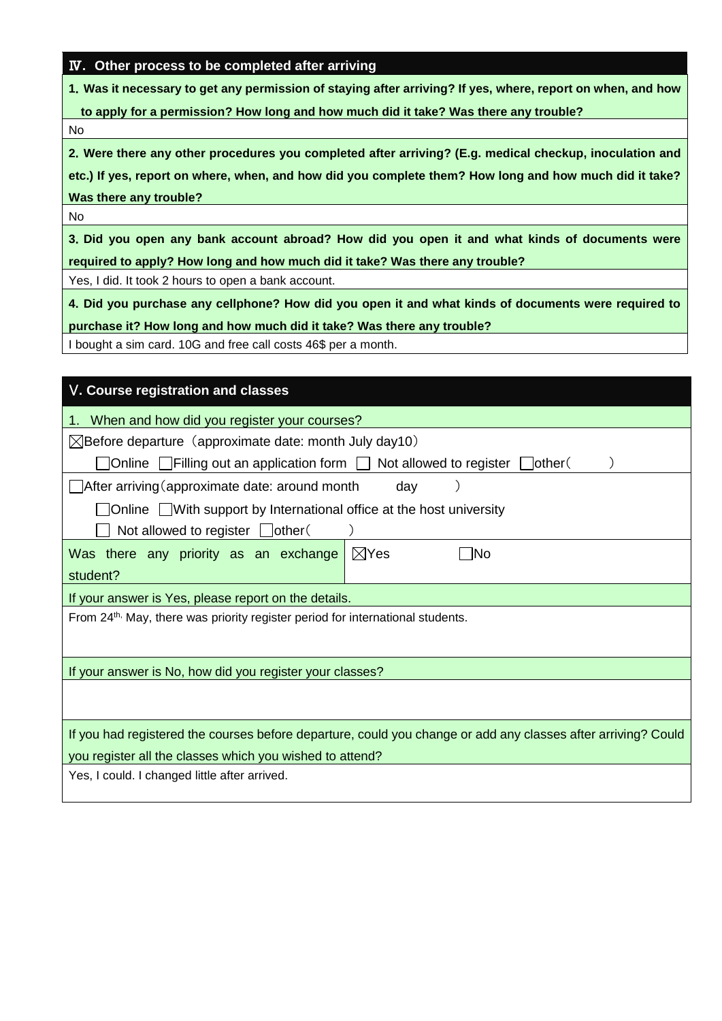### Ⅳ**. Other process to be completed after arriving**

**1**.**Was it necessary to get any permission of staying after arriving? If yes, where, report on when, and how** 

**to apply for a permission? How long and how much did it take? Was there any trouble?**

No

**2**.**Were there any other procedures you completed after arriving? (E.g. medical checkup, inoculation and**

**etc.) If yes, report on where, when, and how did you complete them? How long and how much did it take? Was there any trouble?**

No

**3**.**Did you open any bank account abroad? How did you open it and what kinds of documents were required to apply? How long and how much did it take? Was there any trouble?**

Yes, I did. It took 2 hours to open a bank account.

**4**.**Did you purchase any cellphone? How did you open it and what kinds of documents were required to**

**purchase it? How long and how much did it take? Was there any trouble?**

I bought a sim card. 10G and free call costs 46\$ per a month.

| V. Course registration and classes                                                                            |  |  |  |  |  |  |  |
|---------------------------------------------------------------------------------------------------------------|--|--|--|--|--|--|--|
| 1. When and how did you register your courses?                                                                |  |  |  |  |  |  |  |
| $\boxtimes$ Before departure (approximate date: month July day10)                                             |  |  |  |  |  |  |  |
| ]Online $\Box$ Filling out an application form $\Box$ Not allowed to register $\Box$ other(                   |  |  |  |  |  |  |  |
| After arriving (approximate date: around month<br>day                                                         |  |  |  |  |  |  |  |
| ]Online □With support by International office at the host university                                          |  |  |  |  |  |  |  |
| Not allowed to register $\Box$ other (                                                                        |  |  |  |  |  |  |  |
| $\boxtimes$ Yes<br>Was there any priority as an exchange<br>- INo                                             |  |  |  |  |  |  |  |
| student?                                                                                                      |  |  |  |  |  |  |  |
| If your answer is Yes, please report on the details.                                                          |  |  |  |  |  |  |  |
| From 24 <sup>th,</sup> May, there was priority register period for international students.                    |  |  |  |  |  |  |  |
|                                                                                                               |  |  |  |  |  |  |  |
| If your answer is No, how did you register your classes?                                                      |  |  |  |  |  |  |  |
|                                                                                                               |  |  |  |  |  |  |  |
|                                                                                                               |  |  |  |  |  |  |  |
| If you had registered the courses before departure, could you change or add any classes after arriving? Could |  |  |  |  |  |  |  |
| you register all the classes which you wished to attend?                                                      |  |  |  |  |  |  |  |
| Yes, I could. I changed little after arrived.                                                                 |  |  |  |  |  |  |  |
|                                                                                                               |  |  |  |  |  |  |  |